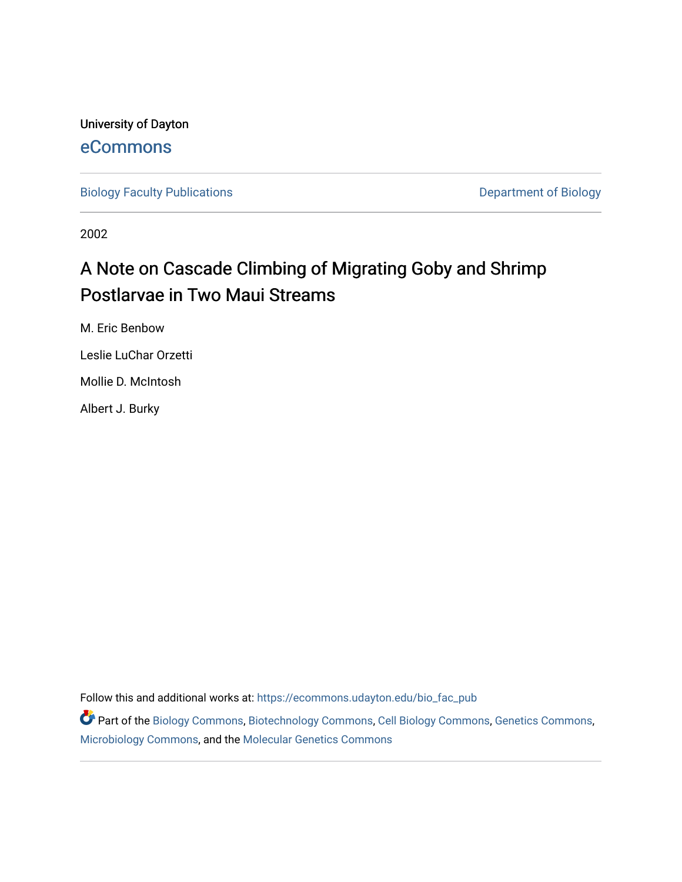University of Dayton [eCommons](https://ecommons.udayton.edu/)

[Biology Faculty Publications](https://ecommons.udayton.edu/bio_fac_pub) **Department of Biology** 

2002

# A Note on Cascade Climbing of Migrating Goby and Shrimp Postlarvae in Two Maui Streams

M. Eric Benbow

Leslie LuChar Orzetti

Mollie D. McIntosh

Albert J. Burky

Follow this and additional works at: [https://ecommons.udayton.edu/bio\\_fac\\_pub](https://ecommons.udayton.edu/bio_fac_pub?utm_source=ecommons.udayton.edu%2Fbio_fac_pub%2F301&utm_medium=PDF&utm_campaign=PDFCoverPages) 

Part of the [Biology Commons,](http://network.bepress.com/hgg/discipline/41?utm_source=ecommons.udayton.edu%2Fbio_fac_pub%2F301&utm_medium=PDF&utm_campaign=PDFCoverPages) [Biotechnology Commons](http://network.bepress.com/hgg/discipline/111?utm_source=ecommons.udayton.edu%2Fbio_fac_pub%2F301&utm_medium=PDF&utm_campaign=PDFCoverPages), [Cell Biology Commons](http://network.bepress.com/hgg/discipline/10?utm_source=ecommons.udayton.edu%2Fbio_fac_pub%2F301&utm_medium=PDF&utm_campaign=PDFCoverPages), [Genetics Commons](http://network.bepress.com/hgg/discipline/29?utm_source=ecommons.udayton.edu%2Fbio_fac_pub%2F301&utm_medium=PDF&utm_campaign=PDFCoverPages), [Microbiology Commons](http://network.bepress.com/hgg/discipline/48?utm_source=ecommons.udayton.edu%2Fbio_fac_pub%2F301&utm_medium=PDF&utm_campaign=PDFCoverPages), and the [Molecular Genetics Commons](http://network.bepress.com/hgg/discipline/31?utm_source=ecommons.udayton.edu%2Fbio_fac_pub%2F301&utm_medium=PDF&utm_campaign=PDFCoverPages)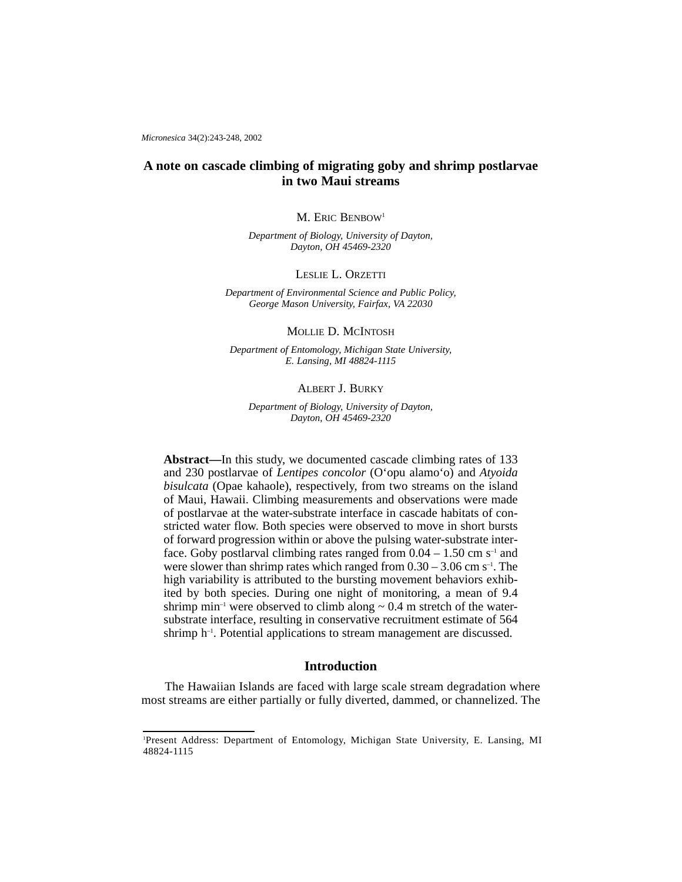*Micronesica* 34(2):243-248, 2002

## **A note on cascade climbing of migrating goby and shrimp postlarvae in two Maui streams**

#### M. ERIC BENBOW<sup>1</sup>

*Department of Biology, University of Dayton, Dayton, OH 45469-2320*

## LESLIE L. ORZETTI

*Department of Environmental Science and Public Policy, George Mason University, Fairfax, VA 22030*

MOLLIE D. MCINTOSH

*Department of Entomology, Michigan State University, E. Lansing, MI 48824-1115*

## ALBERT J. BURKY

*Department of Biology, University of Dayton, Dayton, OH 45469-2320*

**Abstract—**In this study, we documented cascade climbing rates of 133 and 230 postlarvae of *Lentipes concolor* (O'opu alamo'o) and *Atyoida bisulcata* (Opae kahaole), respectively, from two streams on the island of Maui, Hawaii. Climbing measurements and observations were made of postlarvae at the water-substrate interface in cascade habitats of constricted water flow. Both species were observed to move in short bursts of forward progression within or above the pulsing water-substrate interface. Goby postlarval climbing rates ranged from  $0.04 - 1.50$  cm s<sup>-1</sup> and were slower than shrimp rates which ranged from  $0.30 - 3.06$  cm s<sup>-1</sup>. The high variability is attributed to the bursting movement behaviors exhibited by both species. During one night of monitoring, a mean of 9.4 shrimp min<sup>-1</sup> were observed to climb along  $\sim 0.4$  m stretch of the watersubstrate interface, resulting in conservative recruitment estimate of 564 shrimp h<sup>-1</sup>. Potential applications to stream management are discussed.

## **Introduction**

The Hawaiian Islands are faced with large scale stream degradation where most streams are either partially or fully diverted, dammed, or channelized. The

<sup>1</sup> Present Address: Department of Entomology, Michigan State University, E. Lansing, MI 48824-1115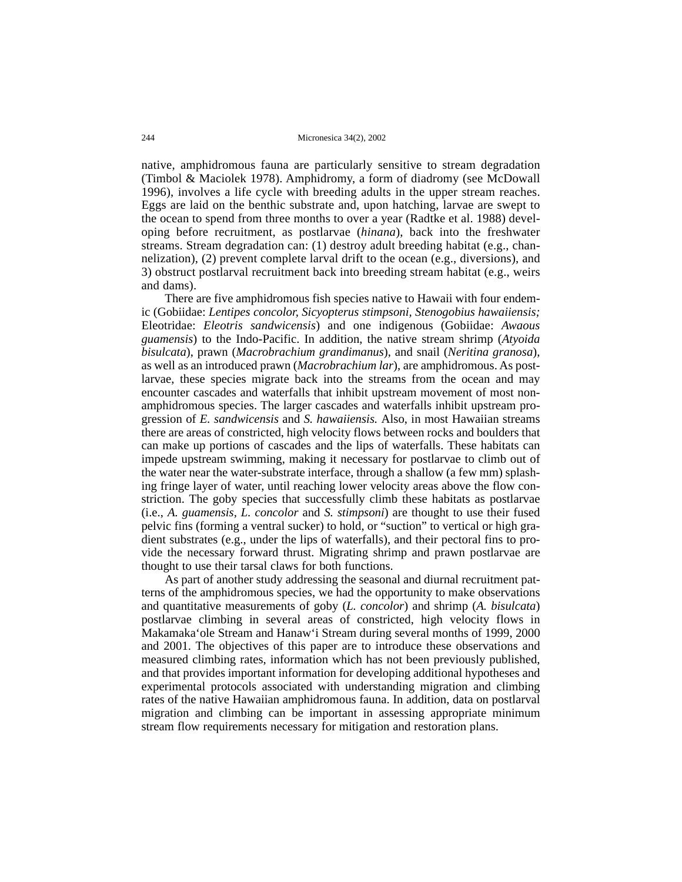#### 244 Micronesica 34(2), 2002

native, amphidromous fauna are particularly sensitive to stream degradation (Timbol & Maciolek 1978). Amphidromy, a form of diadromy (see McDowall 1996), involves a life cycle with breeding adults in the upper stream reaches. Eggs are laid on the benthic substrate and, upon hatching, larvae are swept to the ocean to spend from three months to over a year (Radtke et al. 1988) developing before recruitment, as postlarvae (*hinana*), back into the freshwater streams. Stream degradation can: (1) destroy adult breeding habitat (e.g., channelization), (2) prevent complete larval drift to the ocean (e.g., diversions), and 3) obstruct postlarval recruitment back into breeding stream habitat (e.g., weirs and dams).

There are five amphidromous fish species native to Hawaii with four endemic (Gobiidae: *Lentipes concolor, Sicyopterus stimpsoni, Stenogobius hawaiiensis;* Eleotridae: *Eleotris sandwicensis*) and one indigenous (Gobiidae: *Awaous guamensis*) to the Indo-Pacific. In addition, the native stream shrimp (*Atyoida bisulcata*), prawn (*Macrobrachium grandimanus*), and snail (*Neritina granosa*), as well as an introduced prawn (*Macrobrachium lar*), are amphidromous. As postlarvae, these species migrate back into the streams from the ocean and may encounter cascades and waterfalls that inhibit upstream movement of most nonamphidromous species. The larger cascades and waterfalls inhibit upstream progression of *E. sandwicensis* and *S. hawaiiensis.* Also, in most Hawaiian streams there are areas of constricted, high velocity flows between rocks and boulders that can make up portions of cascades and the lips of waterfalls. These habitats can impede upstream swimming, making it necessary for postlarvae to climb out of the water near the water-substrate interface, through a shallow (a few mm) splashing fringe layer of water, until reaching lower velocity areas above the flow constriction. The goby species that successfully climb these habitats as postlarvae (i.e., *A. guamensis, L. concolor* and *S. stimpsoni*) are thought to use their fused pelvic fins (forming a ventral sucker) to hold, or "suction" to vertical or high gradient substrates (e.g., under the lips of waterfalls), and their pectoral fins to provide the necessary forward thrust. Migrating shrimp and prawn postlarvae are thought to use their tarsal claws for both functions.

As part of another study addressing the seasonal and diurnal recruitment patterns of the amphidromous species, we had the opportunity to make observations and quantitative measurements of goby (*L. concolor*) and shrimp (*A. bisulcata*) postlarvae climbing in several areas of constricted, high velocity flows in Makamaka'ole Stream and Hanaw'i Stream during several months of 1999, 2000 and 2001. The objectives of this paper are to introduce these observations and measured climbing rates, information which has not been previously published, and that provides important information for developing additional hypotheses and experimental protocols associated with understanding migration and climbing rates of the native Hawaiian amphidromous fauna. In addition, data on postlarval migration and climbing can be important in assessing appropriate minimum stream flow requirements necessary for mitigation and restoration plans.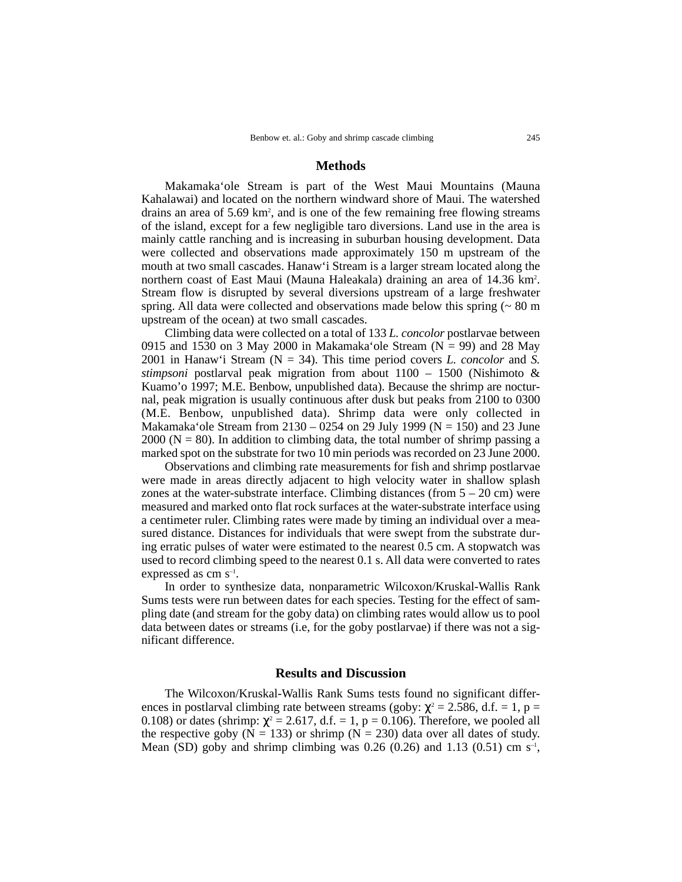## **Methods**

Makamaka'ole Stream is part of the West Maui Mountains (Mauna Kahalawai) and located on the northern windward shore of Maui. The watershed drains an area of 5.69 km<sup>2</sup>, and is one of the few remaining free flowing streams of the island, except for a few negligible taro diversions. Land use in the area is mainly cattle ranching and is increasing in suburban housing development. Data were collected and observations made approximately 150 m upstream of the mouth at two small cascades. Hanaw'i Stream is a larger stream located along the northern coast of East Maui (Mauna Haleakala) draining an area of 14.36 km<sup>2</sup>. Stream flow is disrupted by several diversions upstream of a large freshwater spring. All data were collected and observations made below this spring (~ 80 m upstream of the ocean) at two small cascades.

Climbing data were collected on a total of 133 *L. concolor* postlarvae between 0915 and 1530 on 3 May 2000 in Makamaka ole Stream ( $N = 99$ ) and 28 May 2001 in Hanaw'i Stream (N = 34). This time period covers *L. concolor* and *S. stimpsoni* postlarval peak migration from about 1100 – 1500 (Nishimoto & Kuamo'o 1997; M.E. Benbow, unpublished data). Because the shrimp are nocturnal, peak migration is usually continuous after dusk but peaks from 2100 to 0300 (M.E. Benbow, unpublished data). Shrimp data were only collected in Makamaka'ole Stream from  $2130 - 0254$  on 29 July 1999 (N = 150) and 23 June 2000 ( $N = 80$ ). In addition to climbing data, the total number of shrimp passing a marked spot on the substrate for two 10 min periods was recorded on 23 June 2000.

Observations and climbing rate measurements for fish and shrimp postlarvae were made in areas directly adjacent to high velocity water in shallow splash zones at the water-substrate interface. Climbing distances (from  $5 - 20$  cm) were measured and marked onto flat rock surfaces at the water-substrate interface using a centimeter ruler. Climbing rates were made by timing an individual over a measured distance. Distances for individuals that were swept from the substrate during erratic pulses of water were estimated to the nearest 0.5 cm. A stopwatch was used to record climbing speed to the nearest 0.1 s. All data were converted to rates expressed as cm s–1.

In order to synthesize data, nonparametric Wilcoxon/Kruskal-Wallis Rank Sums tests were run between dates for each species. Testing for the effect of sampling date (and stream for the goby data) on climbing rates would allow us to pool data between dates or streams (i.e, for the goby postlarvae) if there was not a significant difference.

### **Results and Discussion**

The Wilcoxon/Kruskal-Wallis Rank Sums tests found no significant differences in postlarval climbing rate between streams (goby:  $\chi^2 = 2.586$ , d.f. = 1, p = 0.108) or dates (shrimp:  $\chi^2 = 2.617$ , d.f. = 1, p = 0.106). Therefore, we pooled all the respective goby ( $N = 133$ ) or shrimp ( $N = 230$ ) data over all dates of study. Mean (SD) goby and shrimp climbing was 0.26 (0.26) and 1.13 (0.51) cm  $s^{-1}$ ,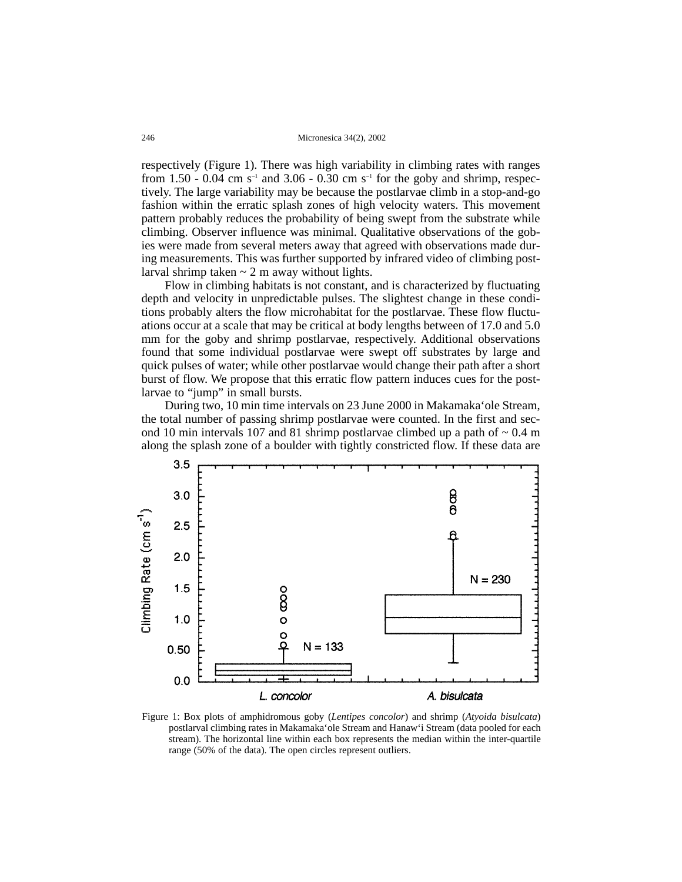246 Micronesica 34(2), 2002

respectively (Figure 1). There was high variability in climbing rates with ranges from 1.50 - 0.04 cm s<sup>-1</sup> and 3.06 - 0.30 cm s<sup>-1</sup> for the goby and shrimp, respectively. The large variability may be because the postlarvae climb in a stop-and-go fashion within the erratic splash zones of high velocity waters. This movement pattern probably reduces the probability of being swept from the substrate while climbing. Observer influence was minimal. Qualitative observations of the gobies were made from several meters away that agreed with observations made during measurements. This was further supported by infrared video of climbing postlarval shrimp taken  $\sim$  2 m away without lights.

Flow in climbing habitats is not constant, and is characterized by fluctuating depth and velocity in unpredictable pulses. The slightest change in these conditions probably alters the flow microhabitat for the postlarvae. These flow fluctuations occur at a scale that may be critical at body lengths between of 17.0 and 5.0 mm for the goby and shrimp postlarvae, respectively. Additional observations found that some individual postlarvae were swept off substrates by large and quick pulses of water; while other postlarvae would change their path after a short burst of flow. We propose that this erratic flow pattern induces cues for the postlarvae to "jump" in small bursts.

During two, 10 min time intervals on 23 June 2000 in Makamaka'ole Stream, the total number of passing shrimp postlarvae were counted. In the first and second 10 min intervals 107 and 81 shrimp postlarvae climbed up a path of  $\sim 0.4$  m along the splash zone of a boulder with tightly constricted flow. If these data are



Figure 1: Box plots of amphidromous goby (*Lentipes concolor*) and shrimp (*Atyoida bisulcata*) postlarval climbing rates in Makamaka'ole Stream and Hanaw'i Stream (data pooled for each stream). The horizontal line within each box represents the median within the inter-quartile range (50% of the data). The open circles represent outliers.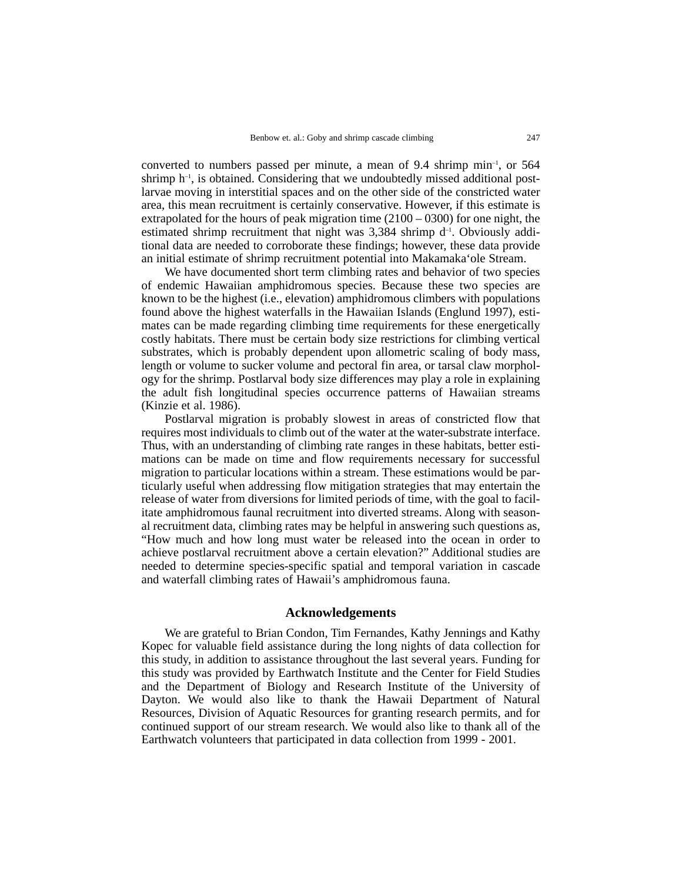converted to numbers passed per minute, a mean of 9.4 shrimp min–1, or 564 shrimp  $h^{-1}$ , is obtained. Considering that we undoubtedly missed additional postlarvae moving in interstitial spaces and on the other side of the constricted water area, this mean recruitment is certainly conservative. However, if this estimate is extrapolated for the hours of peak migration time (2100 – 0300) for one night, the estimated shrimp recruitment that night was  $3,384$  shrimp  $d^{-1}$ . Obviously additional data are needed to corroborate these findings; however, these data provide an initial estimate of shrimp recruitment potential into Makamaka'ole Stream.

We have documented short term climbing rates and behavior of two species of endemic Hawaiian amphidromous species. Because these two species are known to be the highest (i.e., elevation) amphidromous climbers with populations found above the highest waterfalls in the Hawaiian Islands (Englund 1997), estimates can be made regarding climbing time requirements for these energetically costly habitats. There must be certain body size restrictions for climbing vertical substrates, which is probably dependent upon allometric scaling of body mass, length or volume to sucker volume and pectoral fin area, or tarsal claw morphology for the shrimp. Postlarval body size differences may play a role in explaining the adult fish longitudinal species occurrence patterns of Hawaiian streams (Kinzie et al. 1986).

Postlarval migration is probably slowest in areas of constricted flow that requires most individuals to climb out of the water at the water-substrate interface. Thus, with an understanding of climbing rate ranges in these habitats, better estimations can be made on time and flow requirements necessary for successful migration to particular locations within a stream. These estimations would be particularly useful when addressing flow mitigation strategies that may entertain the release of water from diversions for limited periods of time, with the goal to facilitate amphidromous faunal recruitment into diverted streams. Along with seasonal recruitment data, climbing rates may be helpful in answering such questions as, "How much and how long must water be released into the ocean in order to achieve postlarval recruitment above a certain elevation?" Additional studies are needed to determine species-specific spatial and temporal variation in cascade and waterfall climbing rates of Hawaii's amphidromous fauna.

## **Acknowledgements**

We are grateful to Brian Condon, Tim Fernandes, Kathy Jennings and Kathy Kopec for valuable field assistance during the long nights of data collection for this study, in addition to assistance throughout the last several years. Funding for this study was provided by Earthwatch Institute and the Center for Field Studies and the Department of Biology and Research Institute of the University of Dayton. We would also like to thank the Hawaii Department of Natural Resources, Division of Aquatic Resources for granting research permits, and for continued support of our stream research. We would also like to thank all of the Earthwatch volunteers that participated in data collection from 1999 - 2001.